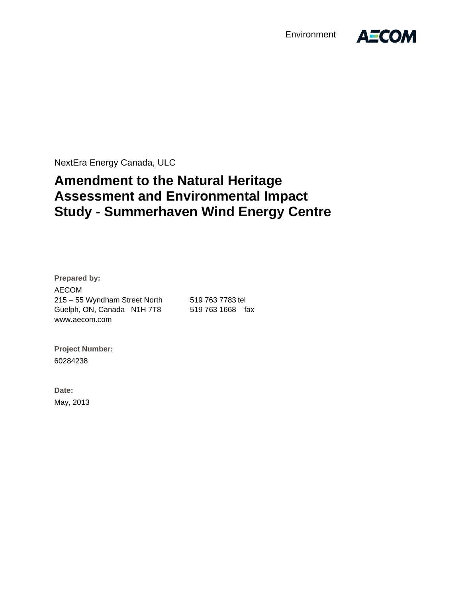**Environment** 



NextEra Energy Canada, ULC

# **Amendment to the Natural Heritage Assessment and Environmental Impact Study - Summerhaven Wind Energy Centre**

**Prepared by:**  AECOM 215 – 55 Wyndham Street North 519 763 7783 tel Guelph, ON, Canada N1H 7T8 519 763 1668 fax www.aecom.com

**Project Number:**  60284238

**Date:**  May, 2013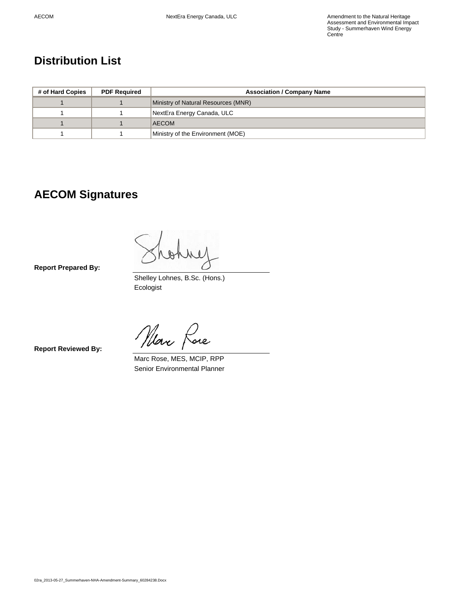### **Distribution List**

| # of Hard Copies | <b>PDF Required</b> | <b>Association / Company Name</b>   |  |  |  |
|------------------|---------------------|-------------------------------------|--|--|--|
|                  |                     | Ministry of Natural Resources (MNR) |  |  |  |
|                  |                     | NextEra Energy Canada, ULC          |  |  |  |
|                  |                     | <b>AECOM</b>                        |  |  |  |
|                  |                     | Ministry of the Environment (MOE)   |  |  |  |

### **AECOM Signatures**

W  $40$ 

**Report Prepared By:**

 Shelley Lohnes, B.Sc. (Hons.) Ecologist

*Nlax* fare

**Report Reviewed By:**

 Marc Rose, MES, MCIP, RPP Senior Environmental Planner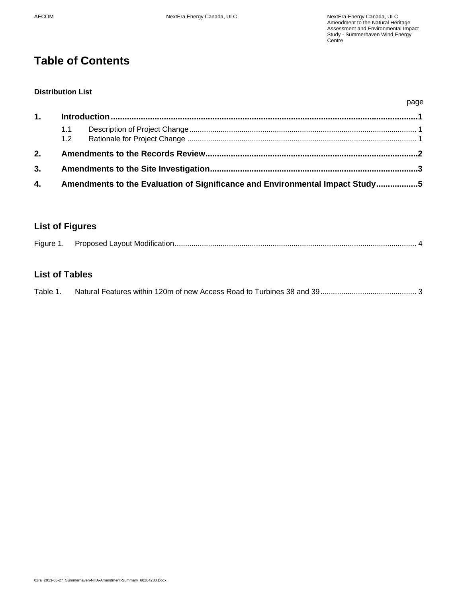## **Table of Contents**

#### **Distribution List**

|    | 1.1                                                                             |  |  |  |
|----|---------------------------------------------------------------------------------|--|--|--|
| 2. |                                                                                 |  |  |  |
|    |                                                                                 |  |  |  |
|    | 4. Amendments to the Evaluation of Significance and Environmental Impact Study5 |  |  |  |

#### **List of Figures**

| Figure 1. |  |  |
|-----------|--|--|
|-----------|--|--|

#### **List of Tables**

| Table 1. |  |  |
|----------|--|--|
|          |  |  |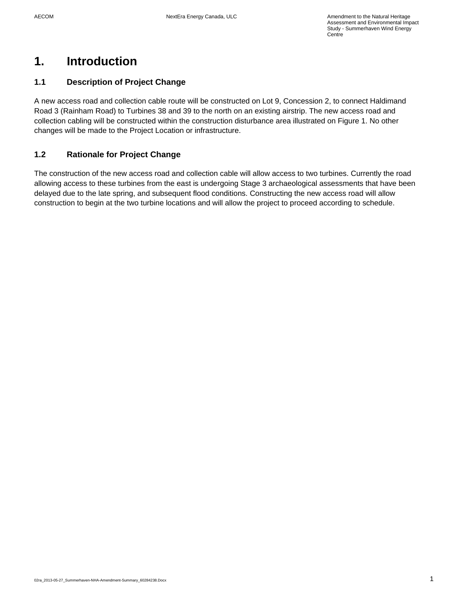## **1. Introduction**

#### **1.1 Description of Project Change**

A new access road and collection cable route will be constructed on Lot 9, Concession 2, to connect Haldimand Road 3 (Rainham Road) to Turbines 38 and 39 to the north on an existing airstrip. The new access road and collection cabling will be constructed within the construction disturbance area illustrated on Figure 1. No other changes will be made to the Project Location or infrastructure.

#### **1.2 Rationale for Project Change**

The construction of the new access road and collection cable will allow access to two turbines. Currently the road allowing access to these turbines from the east is undergoing Stage 3 archaeological assessments that have been delayed due to the late spring, and subsequent flood conditions. Constructing the new access road will allow construction to begin at the two turbine locations and will allow the project to proceed according to schedule.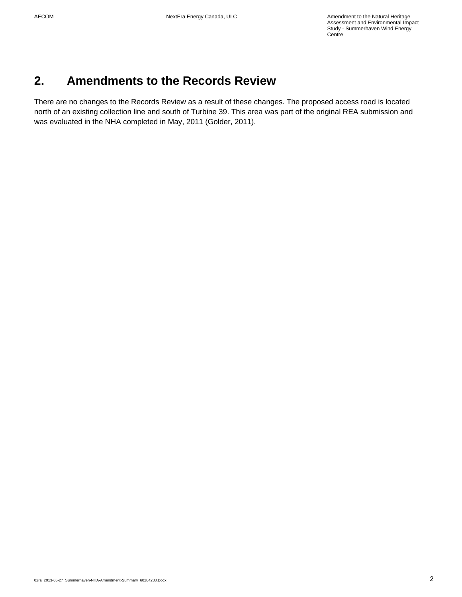### **2. Amendments to the Records Review**

There are no changes to the Records Review as a result of these changes. The proposed access road is located north of an existing collection line and south of Turbine 39. This area was part of the original REA submission and was evaluated in the NHA completed in May, 2011 (Golder, 2011).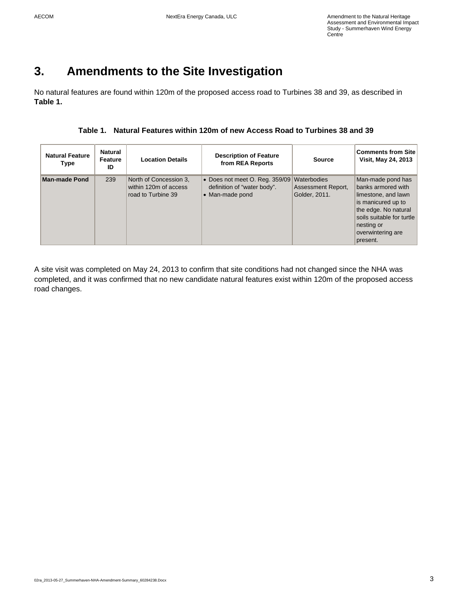## **3. Amendments to the Site Investigation**

No natural features are found within 120m of the proposed access road to Turbines 38 and 39, as described in **Table 1.**

| <b>Natural Feature</b><br>Type | Natural<br>Feature<br>ID | <b>Location Details</b>                                               | <b>Description of Feature</b><br>from REA Reports                                | <b>Source</b>                                      | <b>Comments from Site</b><br>Visit, May 24, 2013                                                                                                                                         |
|--------------------------------|--------------------------|-----------------------------------------------------------------------|----------------------------------------------------------------------------------|----------------------------------------------------|------------------------------------------------------------------------------------------------------------------------------------------------------------------------------------------|
| <b>Man-made Pond</b>           | 239                      | North of Concession 3.<br>within 120m of access<br>road to Turbine 39 | • Does not meet O. Reg. 359/09<br>definition of "water body".<br>• Man-made pond | Waterbodies<br>Assessment Report,<br>Golder, 2011. | Man-made pond has<br>banks armored with<br>limestone, and lawn<br>is manicured up to<br>the edge. No natural<br>soils suitable for turtle<br>nesting or<br>overwintering are<br>present. |

A site visit was completed on May 24, 2013 to confirm that site conditions had not changed since the NHA was completed, and it was confirmed that no new candidate natural features exist within 120m of the proposed access road changes.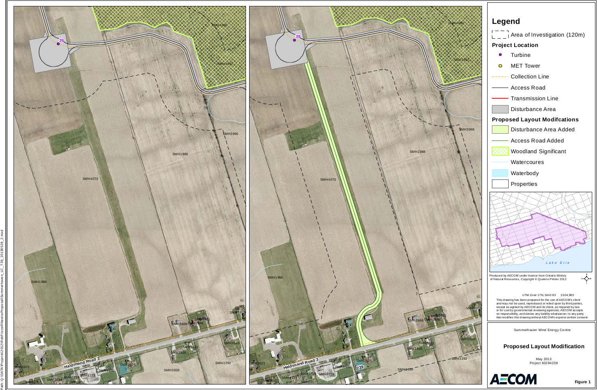Path: Q:\DATA\Projects\2012\RobFrizzell\NextraProposal\Summerhaven\_LC\_T39\_20130528\_2.mxd